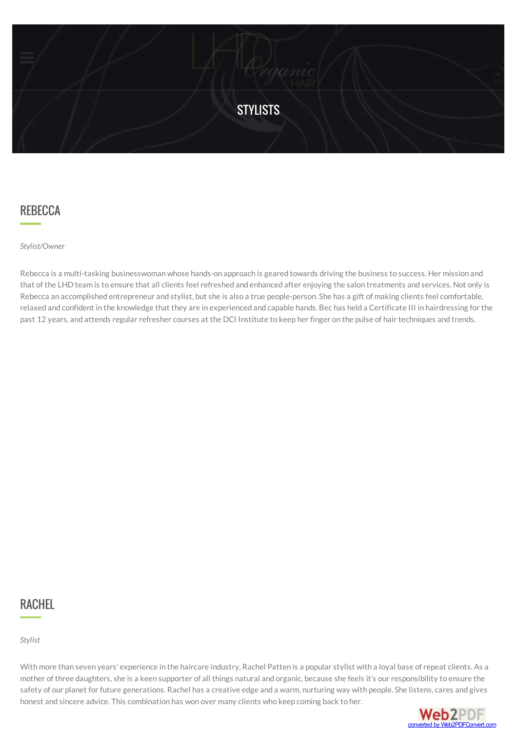

## **REBECCA**

*Stylist/Owner*

Rebecca is a multi-tasking businesswomanwhose hands-on approach is geared towards driving the business to success. Hermission and that of the LHD teamis to ensure that allclients feel refreshed and enhanced after enjoying the salon treatments and services. Not only is Rebecca an accomplished entrepreneur and stylist, but she is also a true people-person. She has a gift of making clients feel comfortable, relaxed and confident in the knowledge that they are in experienced and capable hands. Bec has held a Certificate III in hairdressing for the past 12 years, and attends regular refresher courses at the DCI Institute to keep her finger on the pulse of hair techniques and trends.

## RACHEL

*Stylist*

With more than seven years' experience in the haircare industry, Rachel Patten is a popular stylist with a loyal base of repeat clients. As a mother of three daughters, she is a keen supporter of all things natural and organic, because she feels it's our responsibility to ensure the safety of our planet for future generations. Rachel has a creative edge and a warm, nurturing way with people. She listens, cares and gives honest and sincere advice. This combination has won overmany clients who keep coming back to her.

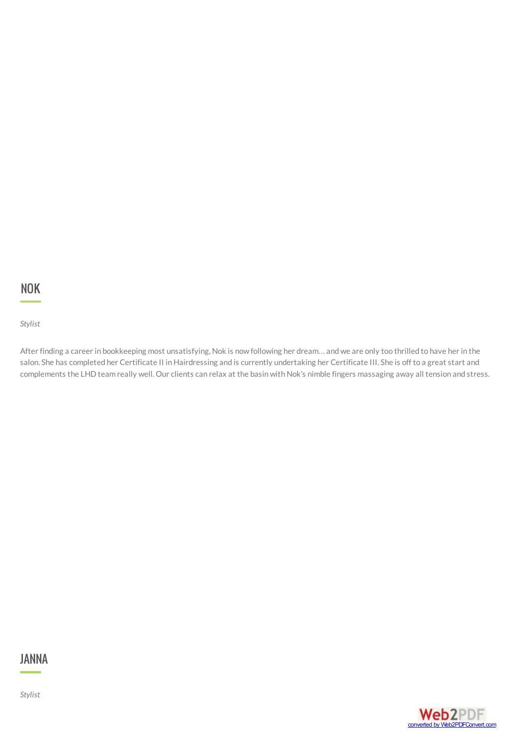## NOK

#### *Stylist*

After finding a career in bookkeeping most unsatisfying, Nok is nowfollowing her dream…andwe are only too thrilled to have her in the salon. She has completed her Certificate II inHairdressing and is currently undertaking her Certificate III. She is off to a great start and complements the LHD team really well. Our clients can relax at the basin with Nok's nimble fingers massaging away all tension and stress.

# JANNA

*Stylist*

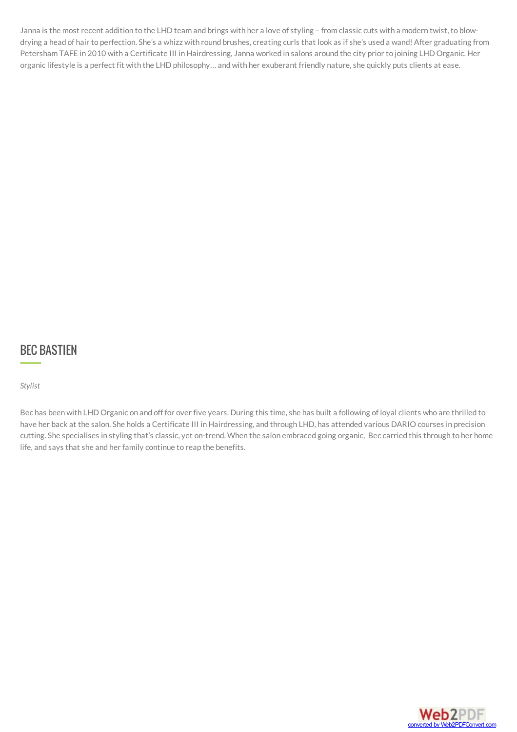Janna is the most recent addition to the LHD teamand brings with her a love ofstyling – fromclassiccuts with a modern twist, to blowdrying a head of hair to perfection. She's a whizz with round brushes, creating curls that look as if she's used a wand! After graduating from Petersham TAFE in 2010 with a Certificate III in Hairdressing, Janna worked in salons around the city prior to joining LHD Organic. Her organiclifestyle is a perfect fit with the LHD philosophy…andwith her exuberant friendly nature,she quickly puts clients at ease.

#### **BEC BASTIEN**

#### *Stylist*

Bec has been with LHD Organic on and off for over five years. During this time, she has built a following of loyal clients who are thrilled to have her back at the salon. She holds a Certificate III in Hairdressing, and through LHD, has attended various DARIO courses in precision cutting. She specialises in styling that's classic, yet on-trend. When the salon embraced going organic, Beccarried this through to her home life, and says that she and her family continue to reap the benefits.

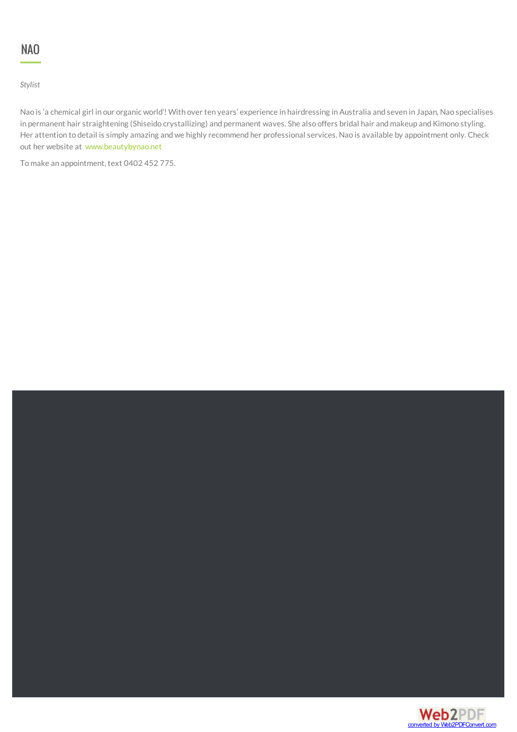*Stylist*

Nao is 'a chemical girl in our organic world'! With over ten years' experience in hairdressing in Australia and seven in Japan, Nao specialises in permanent hair straightening (Shiseido crystallizing) and permanent waves. She also offers bridal hair and makeup and Kimono styling. Her attention to detail is simply amazing and we highly recommend her professional services. Nao is available by appointment only. Check out her website at www.beautybynao.net

To make an appointment, text 0402 452 775.